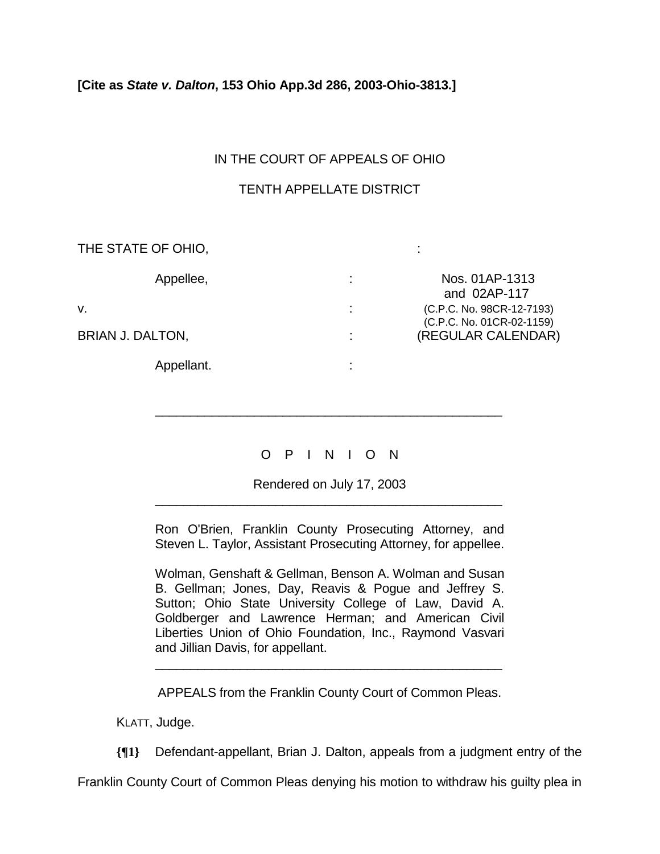#### **[Cite as** *State v. Dalton***, 153 Ohio App.3d 286, 2003-Ohio-3813.]**

## IN THE COURT OF APPEALS OF OHIO

## TENTH APPELLATE DISTRICT

| THE STATE OF OHIO, |   |                                                        |
|--------------------|---|--------------------------------------------------------|
| Appellee,          | ÷ | Nos. 01AP-1313<br>and 02AP-117                         |
| V.                 | ٠ | (C.P.C. No. 98CR-12-7193)<br>(C.P.C. No. 01CR-02-1159) |
| BRIAN J. DALTON,   |   | (REGULAR CALENDAR)                                     |
| Appellant.         |   |                                                        |

# O P I N I O N

\_\_\_\_\_\_\_\_\_\_\_\_\_\_\_\_\_\_\_\_\_\_\_\_\_\_\_\_\_\_\_\_\_\_\_\_\_\_\_\_\_\_\_\_\_\_\_\_\_

Rendered on July 17, 2003 \_\_\_\_\_\_\_\_\_\_\_\_\_\_\_\_\_\_\_\_\_\_\_\_\_\_\_\_\_\_\_\_\_\_\_\_\_\_\_\_\_\_\_\_\_\_\_\_\_

Ron O'Brien, Franklin County Prosecuting Attorney, and Steven L. Taylor, Assistant Prosecuting Attorney, for appellee.

Wolman, Genshaft & Gellman, Benson A. Wolman and Susan B. Gellman; Jones, Day, Reavis & Pogue and Jeffrey S. Sutton; Ohio State University College of Law, David A. Goldberger and Lawrence Herman; and American Civil Liberties Union of Ohio Foundation, Inc., Raymond Vasvari and Jillian Davis, for appellant.

APPEALS from the Franklin County Court of Common Pleas.

\_\_\_\_\_\_\_\_\_\_\_\_\_\_\_\_\_\_\_\_\_\_\_\_\_\_\_\_\_\_\_\_\_\_\_\_\_\_\_\_\_\_\_\_\_\_\_\_\_

KLATT, Judge.

**{¶1}** Defendant-appellant, Brian J. Dalton, appeals from a judgment entry of the

Franklin County Court of Common Pleas denying his motion to withdraw his guilty plea in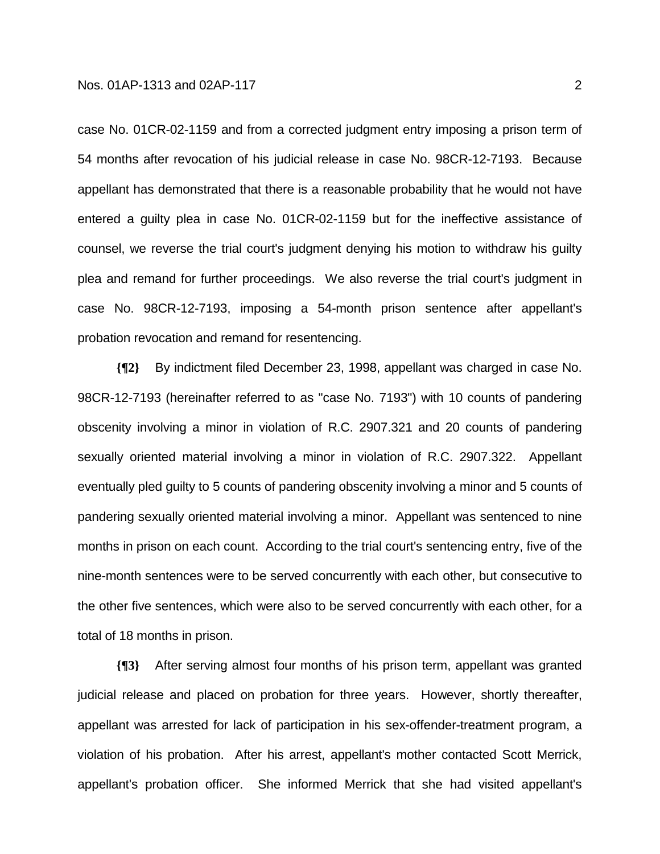case No. 01CR-02-1159 and from a corrected judgment entry imposing a prison term of 54 months after revocation of his judicial release in case No. 98CR-12-7193. Because appellant has demonstrated that there is a reasonable probability that he would not have entered a guilty plea in case No. 01CR-02-1159 but for the ineffective assistance of counsel, we reverse the trial court's judgment denying his motion to withdraw his guilty plea and remand for further proceedings. We also reverse the trial court's judgment in case No. 98CR-12-7193, imposing a 54-month prison sentence after appellant's probation revocation and remand for resentencing.

**{¶2}** By indictment filed December 23, 1998, appellant was charged in case No. 98CR-12-7193 (hereinafter referred to as "case No. 7193") with 10 counts of pandering obscenity involving a minor in violation of R.C. 2907.321 and 20 counts of pandering sexually oriented material involving a minor in violation of R.C. 2907.322. Appellant eventually pled guilty to 5 counts of pandering obscenity involving a minor and 5 counts of pandering sexually oriented material involving a minor. Appellant was sentenced to nine months in prison on each count. According to the trial court's sentencing entry, five of the nine-month sentences were to be served concurrently with each other, but consecutive to the other five sentences, which were also to be served concurrently with each other, for a total of 18 months in prison.

**{¶3}** After serving almost four months of his prison term, appellant was granted judicial release and placed on probation for three years. However, shortly thereafter, appellant was arrested for lack of participation in his sex-offender-treatment program, a violation of his probation. After his arrest, appellant's mother contacted Scott Merrick, appellant's probation officer. She informed Merrick that she had visited appellant's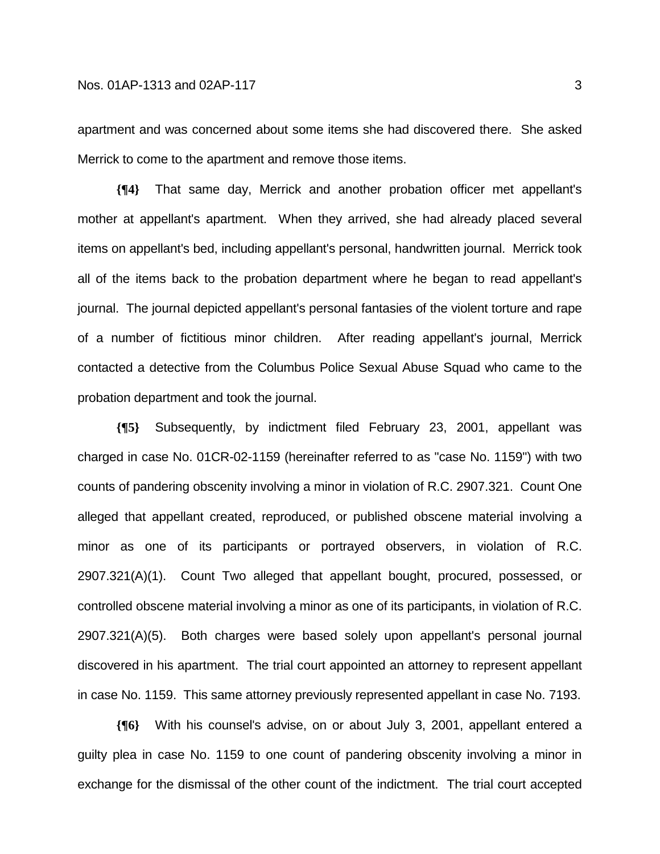apartment and was concerned about some items she had discovered there. She asked Merrick to come to the apartment and remove those items.

**{¶4}** That same day, Merrick and another probation officer met appellant's mother at appellant's apartment. When they arrived, she had already placed several items on appellant's bed, including appellant's personal, handwritten journal. Merrick took all of the items back to the probation department where he began to read appellant's journal. The journal depicted appellant's personal fantasies of the violent torture and rape of a number of fictitious minor children. After reading appellant's journal, Merrick contacted a detective from the Columbus Police Sexual Abuse Squad who came to the probation department and took the journal.

**{¶5}** Subsequently, by indictment filed February 23, 2001, appellant was charged in case No. 01CR-02-1159 (hereinafter referred to as "case No. 1159") with two counts of pandering obscenity involving a minor in violation of R.C. 2907.321. Count One alleged that appellant created, reproduced, or published obscene material involving a minor as one of its participants or portrayed observers, in violation of R.C. 2907.321(A)(1). Count Two alleged that appellant bought, procured, possessed, or controlled obscene material involving a minor as one of its participants, in violation of R.C. 2907.321(A)(5). Both charges were based solely upon appellant's personal journal discovered in his apartment. The trial court appointed an attorney to represent appellant in case No. 1159. This same attorney previously represented appellant in case No. 7193.

**{¶6}** With his counsel's advise, on or about July 3, 2001, appellant entered a guilty plea in case No. 1159 to one count of pandering obscenity involving a minor in exchange for the dismissal of the other count of the indictment. The trial court accepted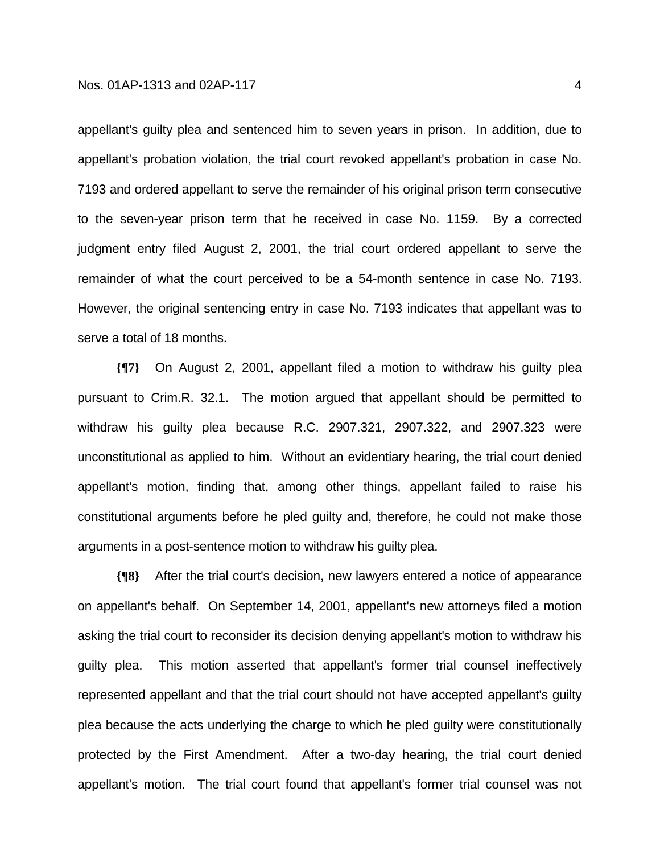#### Nos. 01AP-1313 and 02AP-117

appellant's guilty plea and sentenced him to seven years in prison. In addition, due to appellant's probation violation, the trial court revoked appellant's probation in case No. 7193 and ordered appellant to serve the remainder of his original prison term consecutive to the seven-year prison term that he received in case No. 1159. By a corrected judgment entry filed August 2, 2001, the trial court ordered appellant to serve the remainder of what the court perceived to be a 54-month sentence in case No. 7193. However, the original sentencing entry in case No. 7193 indicates that appellant was to serve a total of 18 months.

**{¶7}** On August 2, 2001, appellant filed a motion to withdraw his guilty plea pursuant to Crim.R. 32.1. The motion argued that appellant should be permitted to withdraw his guilty plea because R.C. 2907.321, 2907.322, and 2907.323 were unconstitutional as applied to him. Without an evidentiary hearing, the trial court denied appellant's motion, finding that, among other things, appellant failed to raise his constitutional arguments before he pled guilty and, therefore, he could not make those arguments in a post-sentence motion to withdraw his guilty plea.

**{¶8}** After the trial court's decision, new lawyers entered a notice of appearance on appellant's behalf. On September 14, 2001, appellant's new attorneys filed a motion asking the trial court to reconsider its decision denying appellant's motion to withdraw his guilty plea. This motion asserted that appellant's former trial counsel ineffectively represented appellant and that the trial court should not have accepted appellant's guilty plea because the acts underlying the charge to which he pled guilty were constitutionally protected by the First Amendment. After a two-day hearing, the trial court denied appellant's motion. The trial court found that appellant's former trial counsel was not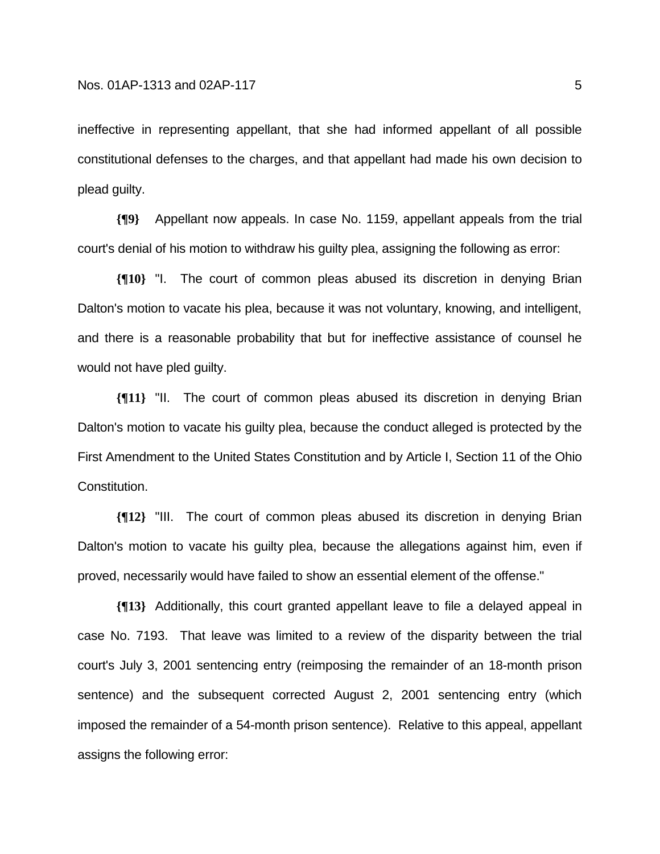ineffective in representing appellant, that she had informed appellant of all possible constitutional defenses to the charges, and that appellant had made his own decision to plead guilty.

**{¶9}** Appellant now appeals. In case No. 1159, appellant appeals from the trial court's denial of his motion to withdraw his guilty plea, assigning the following as error:

**{¶10}** "I. The court of common pleas abused its discretion in denying Brian Dalton's motion to vacate his plea, because it was not voluntary, knowing, and intelligent, and there is a reasonable probability that but for ineffective assistance of counsel he would not have pled guilty.

**{¶11}** "II. The court of common pleas abused its discretion in denying Brian Dalton's motion to vacate his guilty plea, because the conduct alleged is protected by the First Amendment to the United States Constitution and by Article I, Section 11 of the Ohio Constitution.

**{¶12}** "III. The court of common pleas abused its discretion in denying Brian Dalton's motion to vacate his guilty plea, because the allegations against him, even if proved, necessarily would have failed to show an essential element of the offense."

**{¶13}** Additionally, this court granted appellant leave to file a delayed appeal in case No. 7193. That leave was limited to a review of the disparity between the trial court's July 3, 2001 sentencing entry (reimposing the remainder of an 18-month prison sentence) and the subsequent corrected August 2, 2001 sentencing entry (which imposed the remainder of a 54-month prison sentence). Relative to this appeal, appellant assigns the following error: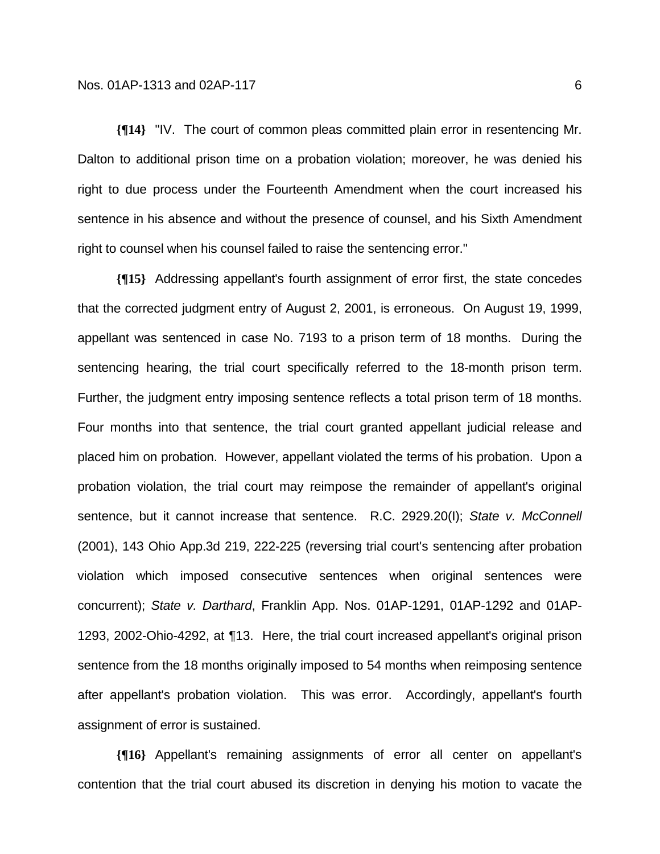**{¶14}** "IV. The court of common pleas committed plain error in resentencing Mr. Dalton to additional prison time on a probation violation; moreover, he was denied his right to due process under the Fourteenth Amendment when the court increased his sentence in his absence and without the presence of counsel, and his Sixth Amendment right to counsel when his counsel failed to raise the sentencing error."

**{¶15}** Addressing appellant's fourth assignment of error first, the state concedes that the corrected judgment entry of August 2, 2001, is erroneous. On August 19, 1999, appellant was sentenced in case No. 7193 to a prison term of 18 months. During the sentencing hearing, the trial court specifically referred to the 18-month prison term. Further, the judgment entry imposing sentence reflects a total prison term of 18 months. Four months into that sentence, the trial court granted appellant judicial release and placed him on probation. However, appellant violated the terms of his probation. Upon a probation violation, the trial court may reimpose the remainder of appellant's original sentence, but it cannot increase that sentence. R.C. 2929.20(I); *State v. McConnell*  (2001), 143 Ohio App.3d 219, 222-225 (reversing trial court's sentencing after probation violation which imposed consecutive sentences when original sentences were concurrent); *State v. Darthard*, Franklin App. Nos. 01AP-1291, 01AP-1292 and 01AP-1293, 2002-Ohio-4292, at ¶13. Here, the trial court increased appellant's original prison sentence from the 18 months originally imposed to 54 months when reimposing sentence after appellant's probation violation. This was error. Accordingly, appellant's fourth assignment of error is sustained.

**{¶16}** Appellant's remaining assignments of error all center on appellant's contention that the trial court abused its discretion in denying his motion to vacate the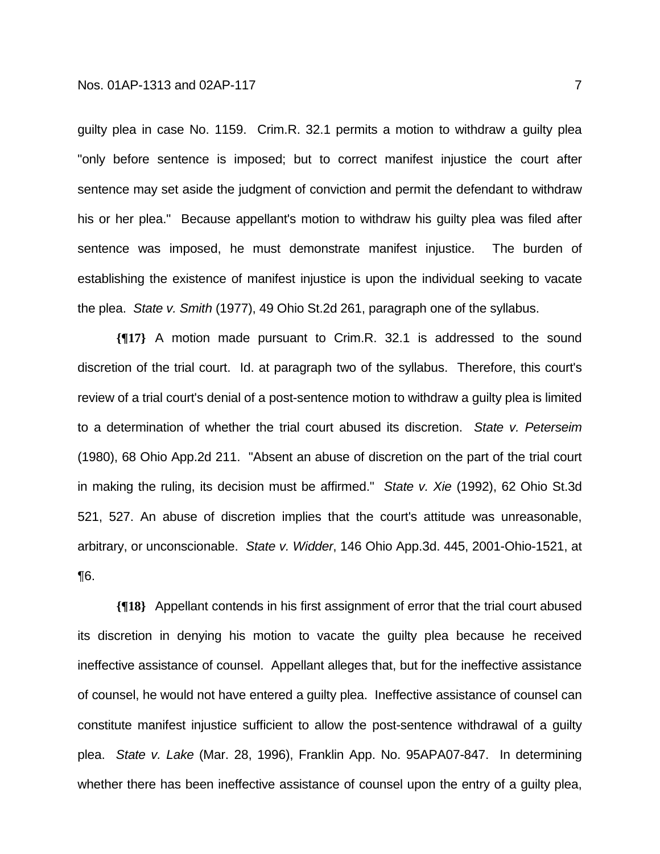guilty plea in case No. 1159. Crim.R. 32.1 permits a motion to withdraw a guilty plea "only before sentence is imposed; but to correct manifest injustice the court after sentence may set aside the judgment of conviction and permit the defendant to withdraw his or her plea." Because appellant's motion to withdraw his guilty plea was filed after sentence was imposed, he must demonstrate manifest injustice. The burden of establishing the existence of manifest injustice is upon the individual seeking to vacate the plea. *State v. Smith* (1977), 49 Ohio St.2d 261, paragraph one of the syllabus.

**{¶17}** A motion made pursuant to Crim.R. 32.1 is addressed to the sound discretion of the trial court. Id. at paragraph two of the syllabus. Therefore, this court's review of a trial court's denial of a post-sentence motion to withdraw a guilty plea is limited to a determination of whether the trial court abused its discretion. *State v. Peterseim* (1980), 68 Ohio App.2d 211. "Absent an abuse of discretion on the part of the trial court in making the ruling, its decision must be affirmed." *State v. Xie* (1992), 62 Ohio St.3d 521, 527. An abuse of discretion implies that the court's attitude was unreasonable, arbitrary, or unconscionable. *State v. Widder*, 146 Ohio App.3d. 445, 2001-Ohio-1521, at ¶6.

**{¶18}** Appellant contends in his first assignment of error that the trial court abused its discretion in denying his motion to vacate the guilty plea because he received ineffective assistance of counsel. Appellant alleges that, but for the ineffective assistance of counsel, he would not have entered a guilty plea. Ineffective assistance of counsel can constitute manifest injustice sufficient to allow the post-sentence withdrawal of a guilty plea. *State v. Lake* (Mar. 28, 1996), Franklin App. No. 95APA07-847. In determining whether there has been ineffective assistance of counsel upon the entry of a guilty plea,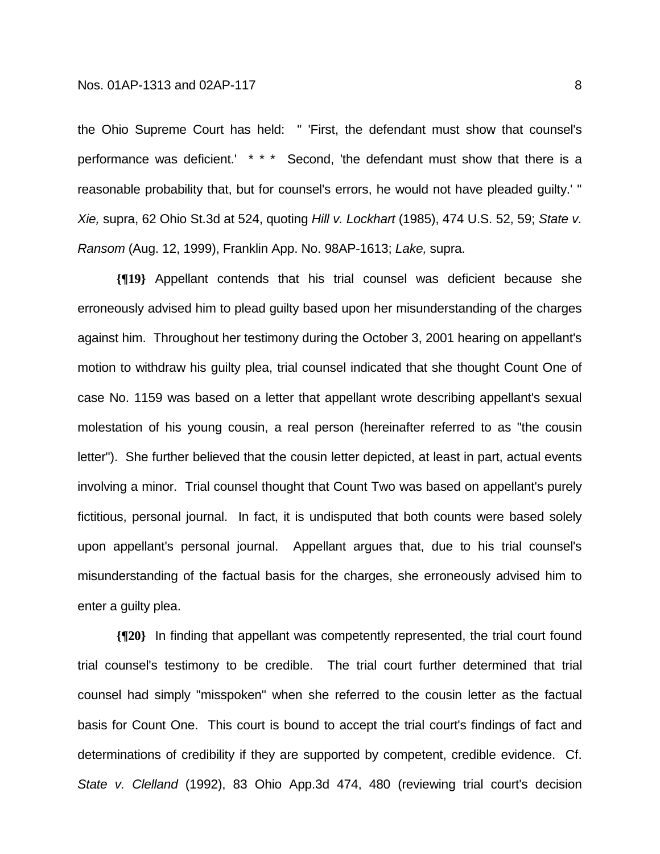the Ohio Supreme Court has held: " 'First, the defendant must show that counsel's performance was deficient.' \* \* \* Second, 'the defendant must show that there is a reasonable probability that, but for counsel's errors, he would not have pleaded guilty.' " *Xie,* supra, 62 Ohio St.3d at 524, quoting *Hill v. Lockhart* (1985), 474 U.S. 52, 59; *State v. Ransom* (Aug. 12, 1999), Franklin App. No. 98AP-1613; *Lake,* supra.

**{¶19}** Appellant contends that his trial counsel was deficient because she erroneously advised him to plead guilty based upon her misunderstanding of the charges against him. Throughout her testimony during the October 3, 2001 hearing on appellant's motion to withdraw his guilty plea, trial counsel indicated that she thought Count One of case No. 1159 was based on a letter that appellant wrote describing appellant's sexual molestation of his young cousin, a real person (hereinafter referred to as "the cousin letter"). She further believed that the cousin letter depicted, at least in part, actual events involving a minor. Trial counsel thought that Count Two was based on appellant's purely fictitious, personal journal. In fact, it is undisputed that both counts were based solely upon appellant's personal journal. Appellant argues that, due to his trial counsel's misunderstanding of the factual basis for the charges, she erroneously advised him to enter a guilty plea.

**{¶20}** In finding that appellant was competently represented, the trial court found trial counsel's testimony to be credible. The trial court further determined that trial counsel had simply "misspoken" when she referred to the cousin letter as the factual basis for Count One. This court is bound to accept the trial court's findings of fact and determinations of credibility if they are supported by competent, credible evidence. Cf. *State v. Clelland* (1992), 83 Ohio App.3d 474, 480 (reviewing trial court's decision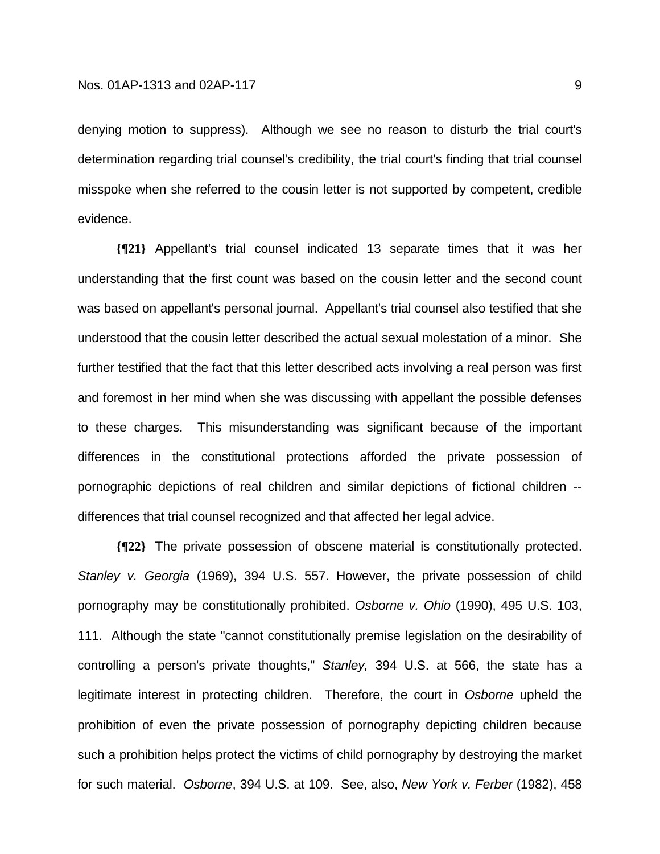denying motion to suppress). Although we see no reason to disturb the trial court's determination regarding trial counsel's credibility, the trial court's finding that trial counsel misspoke when she referred to the cousin letter is not supported by competent, credible evidence.

**{¶21}** Appellant's trial counsel indicated 13 separate times that it was her understanding that the first count was based on the cousin letter and the second count was based on appellant's personal journal. Appellant's trial counsel also testified that she understood that the cousin letter described the actual sexual molestation of a minor. She further testified that the fact that this letter described acts involving a real person was first and foremost in her mind when she was discussing with appellant the possible defenses to these charges. This misunderstanding was significant because of the important differences in the constitutional protections afforded the private possession of pornographic depictions of real children and similar depictions of fictional children - differences that trial counsel recognized and that affected her legal advice.

**{¶22}** The private possession of obscene material is constitutionally protected. *Stanley v. Georgia* (1969), 394 U.S. 557. However, the private possession of child pornography may be constitutionally prohibited. *Osborne v. Ohio* (1990), 495 U.S. 103, 111. Although the state "cannot constitutionally premise legislation on the desirability of controlling a person's private thoughts," *Stanley,* 394 U.S. at 566, the state has a legitimate interest in protecting children. Therefore, the court in *Osborne* upheld the prohibition of even the private possession of pornography depicting children because such a prohibition helps protect the victims of child pornography by destroying the market for such material. *Osborne*, 394 U.S. at 109. See, also, *New York v. Ferber* (1982), 458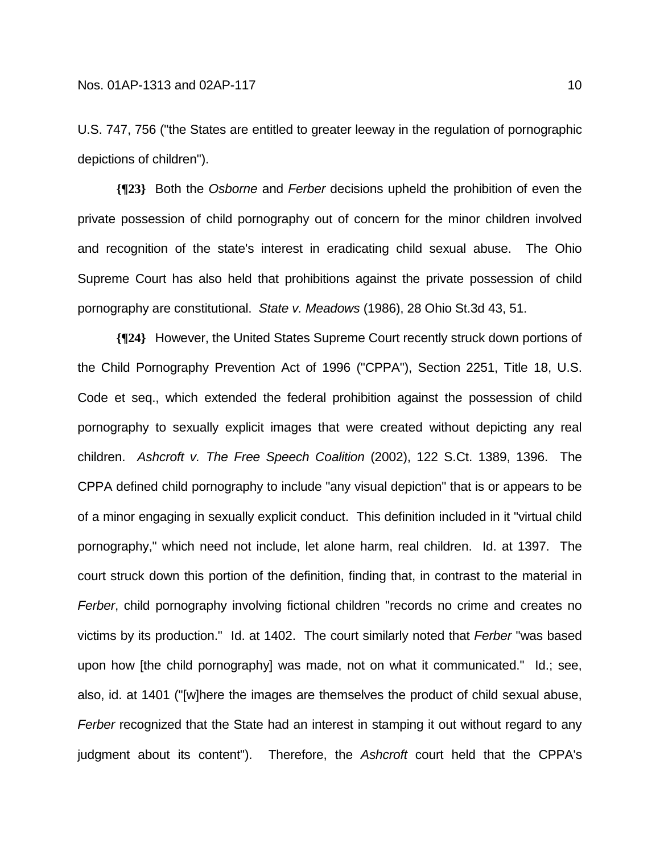U.S. 747, 756 ("the States are entitled to greater leeway in the regulation of pornographic depictions of children").

**{¶23}** Both the *Osborne* and *Ferber* decisions upheld the prohibition of even the private possession of child pornography out of concern for the minor children involved and recognition of the state's interest in eradicating child sexual abuse. The Ohio Supreme Court has also held that prohibitions against the private possession of child pornography are constitutional. *State v. Meadows* (1986), 28 Ohio St.3d 43, 51.

**{¶24}** However, the United States Supreme Court recently struck down portions of the Child Pornography Prevention Act of 1996 ("CPPA"), Section 2251, Title 18, U.S. Code et seq., which extended the federal prohibition against the possession of child pornography to sexually explicit images that were created without depicting any real children. *Ashcroft v. The Free Speech Coalition* (2002), 122 S.Ct. 1389, 1396. The CPPA defined child pornography to include "any visual depiction" that is or appears to be of a minor engaging in sexually explicit conduct. This definition included in it "virtual child pornography," which need not include, let alone harm, real children. Id. at 1397. The court struck down this portion of the definition, finding that, in contrast to the material in *Ferber*, child pornography involving fictional children "records no crime and creates no victims by its production." Id. at 1402. The court similarly noted that *Ferber* "was based upon how [the child pornography] was made, not on what it communicated." Id.; see, also, id. at 1401 ("[w]here the images are themselves the product of child sexual abuse, *Ferber* recognized that the State had an interest in stamping it out without regard to any judgment about its content"). Therefore, the *Ashcroft* court held that the CPPA's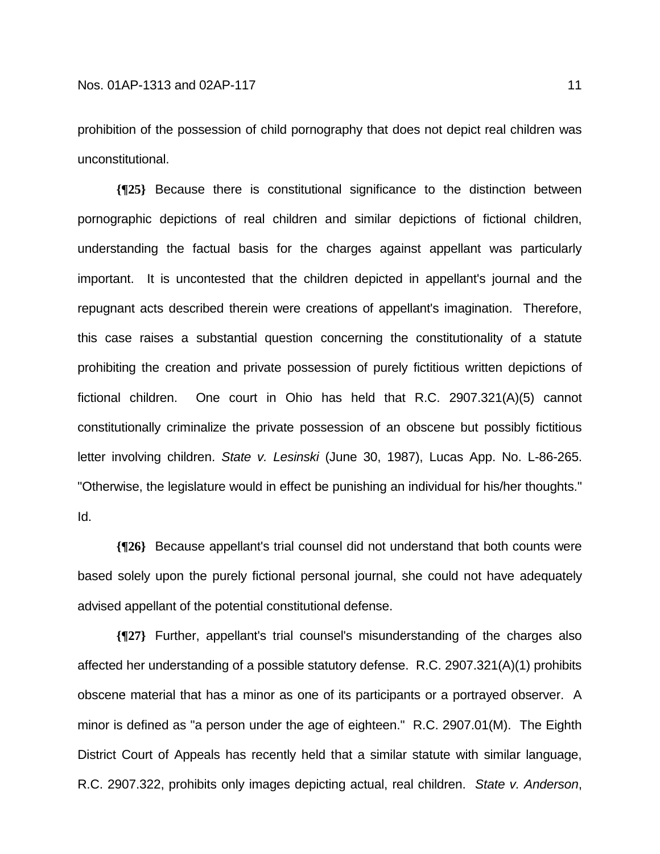prohibition of the possession of child pornography that does not depict real children was unconstitutional.

**{¶25}** Because there is constitutional significance to the distinction between pornographic depictions of real children and similar depictions of fictional children, understanding the factual basis for the charges against appellant was particularly important. It is uncontested that the children depicted in appellant's journal and the repugnant acts described therein were creations of appellant's imagination. Therefore, this case raises a substantial question concerning the constitutionality of a statute prohibiting the creation and private possession of purely fictitious written depictions of fictional children. One court in Ohio has held that R.C. 2907.321(A)(5) cannot constitutionally criminalize the private possession of an obscene but possibly fictitious letter involving children. *State v. Lesinski* (June 30, 1987), Lucas App. No. L-86-265. "Otherwise, the legislature would in effect be punishing an individual for his/her thoughts." Id.

**{¶26}** Because appellant's trial counsel did not understand that both counts were based solely upon the purely fictional personal journal, she could not have adequately advised appellant of the potential constitutional defense.

**{¶27}** Further, appellant's trial counsel's misunderstanding of the charges also affected her understanding of a possible statutory defense. R.C. 2907.321(A)(1) prohibits obscene material that has a minor as one of its participants or a portrayed observer. A minor is defined as "a person under the age of eighteen." R.C. 2907.01(M). The Eighth District Court of Appeals has recently held that a similar statute with similar language, R.C. 2907.322, prohibits only images depicting actual, real children. *State v. Anderson*,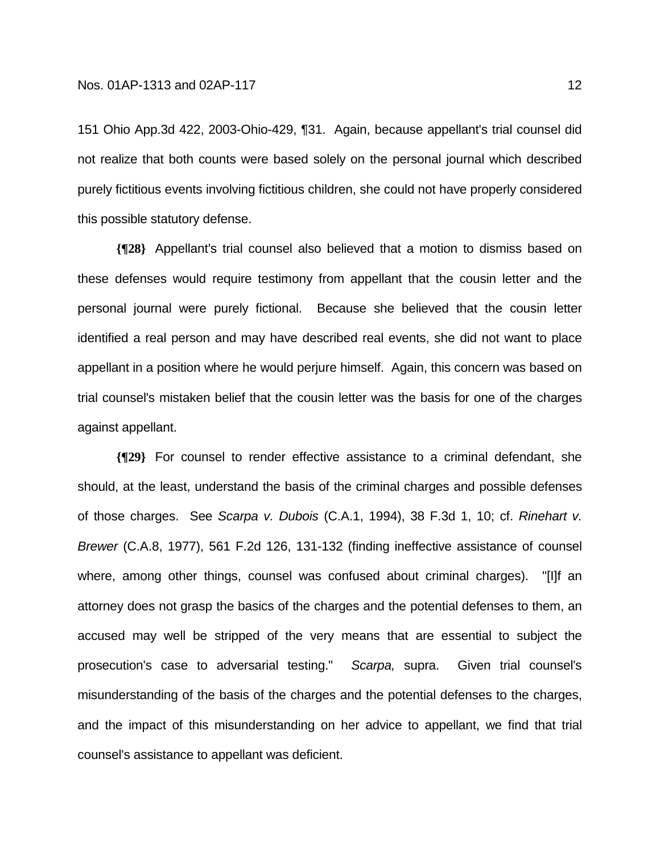151 Ohio App.3d 422, 2003-Ohio-429, ¶31. Again, because appellant's trial counsel did not realize that both counts were based solely on the personal journal which described purely fictitious events involving fictitious children, she could not have properly considered this possible statutory defense.

**{¶28}** Appellant's trial counsel also believed that a motion to dismiss based on these defenses would require testimony from appellant that the cousin letter and the personal journal were purely fictional. Because she believed that the cousin letter identified a real person and may have described real events, she did not want to place appellant in a position where he would perjure himself. Again, this concern was based on trial counsel's mistaken belief that the cousin letter was the basis for one of the charges against appellant.

**{¶29}** For counsel to render effective assistance to a criminal defendant, she should, at the least, understand the basis of the criminal charges and possible defenses of those charges. See *Scarpa v. Dubois* (C.A.1, 1994), 38 F.3d 1, 10; cf. *Rinehart v. Brewer* (C.A.8, 1977), 561 F.2d 126, 131-132 (finding ineffective assistance of counsel where, among other things, counsel was confused about criminal charges). "[I]f an attorney does not grasp the basics of the charges and the potential defenses to them, an accused may well be stripped of the very means that are essential to subject the prosecution's case to adversarial testing." *Scarpa,* supra. Given trial counsel's misunderstanding of the basis of the charges and the potential defenses to the charges, and the impact of this misunderstanding on her advice to appellant, we find that trial counsel's assistance to appellant was deficient.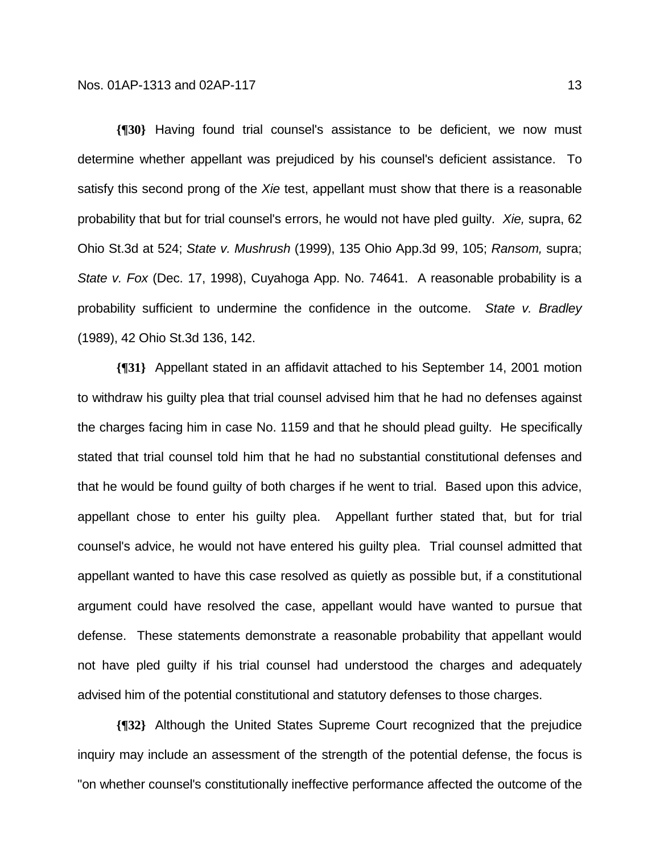**{¶30}** Having found trial counsel's assistance to be deficient, we now must determine whether appellant was prejudiced by his counsel's deficient assistance. To satisfy this second prong of the *Xie* test, appellant must show that there is a reasonable probability that but for trial counsel's errors, he would not have pled guilty. *Xie,* supra, 62 Ohio St.3d at 524; *State v. Mushrush* (1999), 135 Ohio App.3d 99, 105; *Ransom,* supra; *State v. Fox* (Dec. 17, 1998), Cuyahoga App. No. 74641. A reasonable probability is a probability sufficient to undermine the confidence in the outcome. *State v. Bradley* (1989), 42 Ohio St.3d 136, 142.

**{¶31}** Appellant stated in an affidavit attached to his September 14, 2001 motion to withdraw his guilty plea that trial counsel advised him that he had no defenses against the charges facing him in case No. 1159 and that he should plead guilty. He specifically stated that trial counsel told him that he had no substantial constitutional defenses and that he would be found guilty of both charges if he went to trial. Based upon this advice, appellant chose to enter his guilty plea. Appellant further stated that, but for trial counsel's advice, he would not have entered his guilty plea. Trial counsel admitted that appellant wanted to have this case resolved as quietly as possible but, if a constitutional argument could have resolved the case, appellant would have wanted to pursue that defense. These statements demonstrate a reasonable probability that appellant would not have pled guilty if his trial counsel had understood the charges and adequately advised him of the potential constitutional and statutory defenses to those charges.

**{¶32}** Although the United States Supreme Court recognized that the prejudice inquiry may include an assessment of the strength of the potential defense, the focus is "on whether counsel's constitutionally ineffective performance affected the outcome of the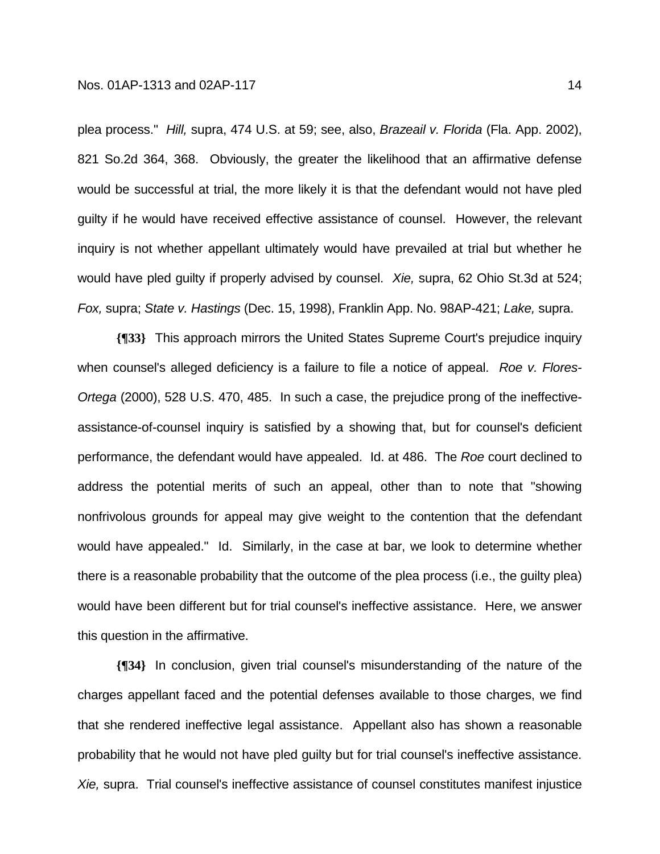plea process." *Hill,* supra, 474 U.S. at 59; see, also, *Brazeail v. Florida* (Fla. App. 2002), 821 So.2d 364, 368. Obviously, the greater the likelihood that an affirmative defense would be successful at trial, the more likely it is that the defendant would not have pled guilty if he would have received effective assistance of counsel. However, the relevant inquiry is not whether appellant ultimately would have prevailed at trial but whether he would have pled guilty if properly advised by counsel. *Xie,* supra, 62 Ohio St.3d at 524; *Fox,* supra; *State v. Hastings* (Dec. 15, 1998), Franklin App. No. 98AP-421; *Lake,* supra.

**{¶33}** This approach mirrors the United States Supreme Court's prejudice inquiry when counsel's alleged deficiency is a failure to file a notice of appeal. *Roe v. Flores-Ortega* (2000), 528 U.S. 470, 485. In such a case, the prejudice prong of the ineffectiveassistance-of-counsel inquiry is satisfied by a showing that, but for counsel's deficient performance, the defendant would have appealed. Id. at 486. The *Roe* court declined to address the potential merits of such an appeal, other than to note that "showing nonfrivolous grounds for appeal may give weight to the contention that the defendant would have appealed." Id. Similarly, in the case at bar, we look to determine whether there is a reasonable probability that the outcome of the plea process (i.e., the guilty plea) would have been different but for trial counsel's ineffective assistance. Here, we answer this question in the affirmative.

**{¶34}** In conclusion, given trial counsel's misunderstanding of the nature of the charges appellant faced and the potential defenses available to those charges, we find that she rendered ineffective legal assistance. Appellant also has shown a reasonable probability that he would not have pled guilty but for trial counsel's ineffective assistance. *Xie,* supra. Trial counsel's ineffective assistance of counsel constitutes manifest injustice